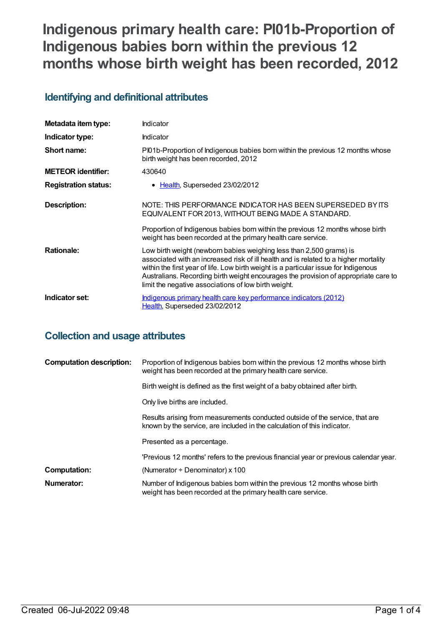# **Indigenous primary health care: PI01b-Proportion of Indigenous babies born within the previous 12 months whose birth weight has been recorded, 2012**

## **Identifying and definitional attributes**

| Metadata item type:         | Indicator                                                                                                                                                                                                                                                                                                                                                                                          |
|-----------------------------|----------------------------------------------------------------------------------------------------------------------------------------------------------------------------------------------------------------------------------------------------------------------------------------------------------------------------------------------------------------------------------------------------|
| Indicator type:             | Indicator                                                                                                                                                                                                                                                                                                                                                                                          |
| Short name:                 | PI01b-Proportion of Indigenous babies born within the previous 12 months whose<br>birth weight has been recorded, 2012                                                                                                                                                                                                                                                                             |
| <b>METEOR identifier:</b>   | 430640                                                                                                                                                                                                                                                                                                                                                                                             |
| <b>Registration status:</b> | • Health, Superseded 23/02/2012                                                                                                                                                                                                                                                                                                                                                                    |
| Description:                | NOTE: THIS PERFORMANCE INDICATOR HAS BEEN SUPERSEDED BY ITS<br>EQUIVALENT FOR 2013, WITHOUT BEING MADE A STANDARD.                                                                                                                                                                                                                                                                                 |
|                             | Proportion of Indigenous babies born within the previous 12 months whose birth<br>weight has been recorded at the primary health care service.                                                                                                                                                                                                                                                     |
| <b>Rationale:</b>           | Low birth weight (newborn babies weighing less than 2,500 grams) is<br>associated with an increased risk of ill health and is related to a higher mortality<br>within the first year of life. Low birth weight is a particular issue for Indigenous<br>Australians. Recording birth weight encourages the provision of appropriate care to<br>limit the negative associations of low birth weight. |
| Indicator set:              | <u>Indigenous primary health care key performance indicators (2012)</u><br>Health, Superseded 23/02/2012                                                                                                                                                                                                                                                                                           |

## **Collection and usage attributes**

| <b>Computation description:</b> | Proportion of Indigenous babies born within the previous 12 months whose birth<br>weight has been recorded at the primary health care service.           |
|---------------------------------|----------------------------------------------------------------------------------------------------------------------------------------------------------|
|                                 | Birth weight is defined as the first weight of a baby obtained after birth.                                                                              |
|                                 | Only live births are included.                                                                                                                           |
|                                 | Results arising from measurements conducted outside of the service, that are<br>known by the service, are included in the calculation of this indicator. |
|                                 | Presented as a percentage.                                                                                                                               |
|                                 | 'Previous 12 months' refers to the previous financial year or previous calendar year.                                                                    |
| Computation:                    | (Numerator $\div$ Denominator) x 100                                                                                                                     |
| Numerator:                      | Number of Indigenous babies born within the previous 12 months whose birth<br>weight has been recorded at the primary health care service.               |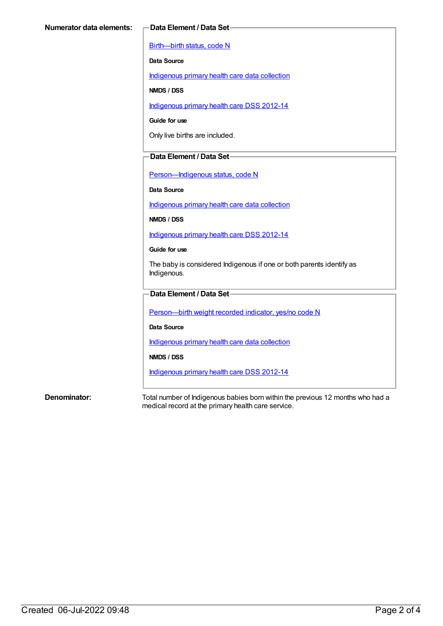[Birth—birth](https://meteor.aihw.gov.au/content/269949) status, code N

**Data Source**

[Indigenous](https://meteor.aihw.gov.au/content/430643) primary health care data collection

**NMDS / DSS**

[Indigenous](https://meteor.aihw.gov.au/content/430629) primary health care DSS 2012-14

**Guide for use**

Only live births are included.

### **Data Element / Data Set**

[Person—Indigenous](https://meteor.aihw.gov.au/content/291036) status, code N

**Data Source**

[Indigenous](https://meteor.aihw.gov.au/content/430643) primary health care data collection

**NMDS / DSS**

[Indigenous](https://meteor.aihw.gov.au/content/430629) primary health care DSS 2012-14

**Guide for use**

The baby is considered Indigenous if one or both parents identify as Indigenous.

### **Data Element / Data Set**

[Person—birth](https://meteor.aihw.gov.au/content/441701) weight recorded indicator, yes/no code N

**Data Source**

[Indigenous](https://meteor.aihw.gov.au/content/430643) primary health care data collection

**NMDS / DSS**

[Indigenous](https://meteor.aihw.gov.au/content/430629) primary health care DSS 2012-14

**Denominator:** Total number of Indigenous babies born within the previous 12 months who had a medical record at the primary health care service.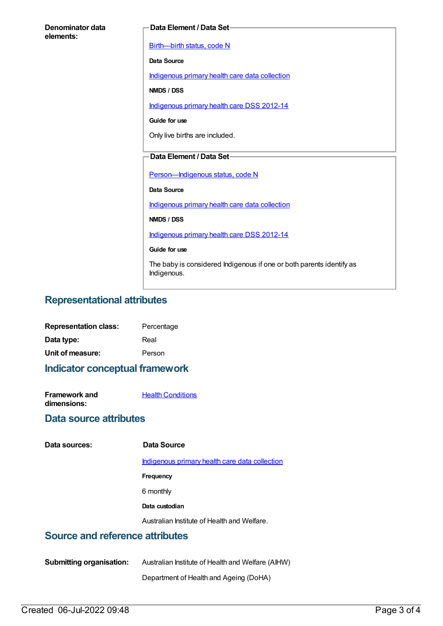| Denominator data<br>elements: | Data Element / Data Set-                                                            |
|-------------------------------|-------------------------------------------------------------------------------------|
|                               | Birth-birth status, code N                                                          |
|                               | Data Source                                                                         |
|                               | Indigenous primary health care data collection                                      |
|                               | NMDS / DSS                                                                          |
|                               | Indigenous primary health care DSS 2012-14                                          |
|                               | Guide for use                                                                       |
|                               | Only live births are included.                                                      |
|                               |                                                                                     |
|                               | <b>Data Element / Data Set-</b>                                                     |
|                               | Person-Indigenous status, code N                                                    |
|                               | <b>Data Source</b>                                                                  |
|                               | Indigenous primary health care data collection                                      |
|                               | NMDS / DSS                                                                          |
|                               | Indigenous primary health care DSS 2012-14                                          |
|                               | Guide for use                                                                       |
|                               | The baby is considered Indigenous if one or both parents identify as<br>Indigenous. |

### **Representational attributes**

| <b>Representation class:</b> | Percentage |
|------------------------------|------------|
| Data type:                   | Real       |
| Unit of measure:             | Person     |

**Indicator conceptual framework**

| <b>Framework and</b> | <b>Health Conditions</b> |
|----------------------|--------------------------|
| dimensions:          |                          |

### **Data source attributes**

| Data sources: |
|---------------|
|               |

### **Data sources: Data Source**

[Indigenous](https://meteor.aihw.gov.au/content/430643) primary health care data collection

- **Frequency**
- 6 monthly
- **Data custodian**

Australian Institute of Health and Welfare.

### **Source and reference attributes**

**Submitting organisation:** Australian Institute of Health and Welfare (AIHW)

Department of Health and Ageing (DoHA)